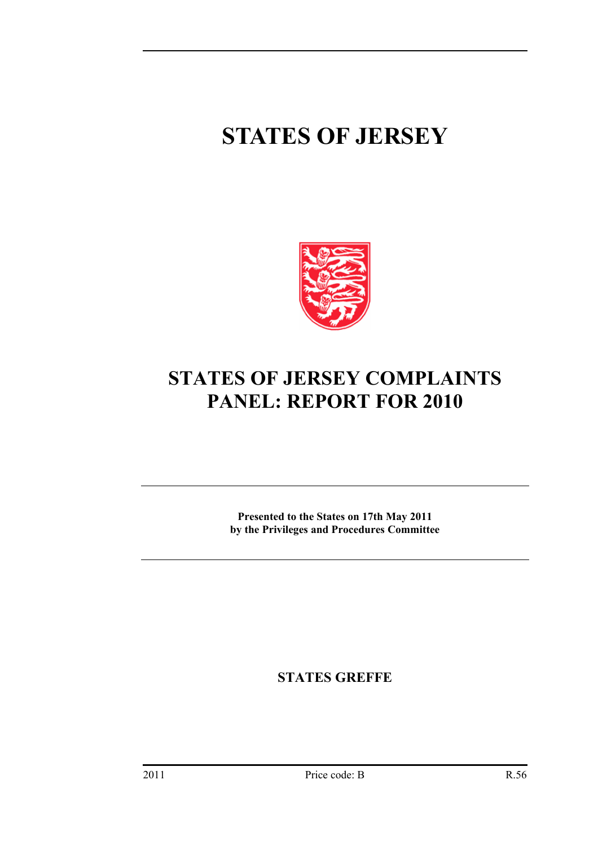# **STATES OF JERSEY**



# **STATES OF JERSEY COMPLAINTS PANEL: REPORT FOR 2010**

**Presented to the States on 17th May 2011 by the Privileges and Procedures Committee** 

**STATES GREFFE**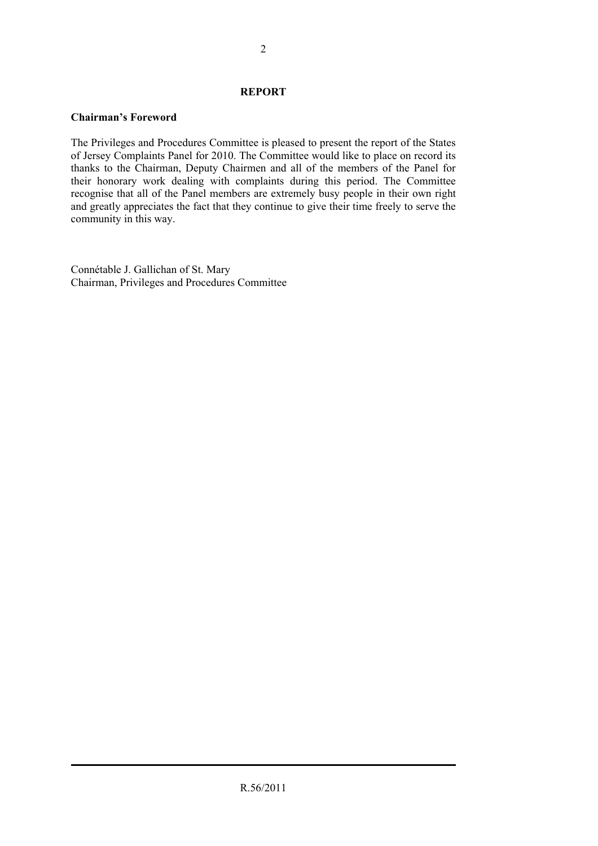# **REPORT**

# **Chairman's Foreword**

The Privileges and Procedures Committee is pleased to present the report of the States of Jersey Complaints Panel for 2010. The Committee would like to place on record its thanks to the Chairman, Deputy Chairmen and all of the members of the Panel for their honorary work dealing with complaints during this period. The Committee recognise that all of the Panel members are extremely busy people in their own right and greatly appreciates the fact that they continue to give their time freely to serve the community in this way.

Connétable J. Gallichan of St. Mary Chairman, Privileges and Procedures Committee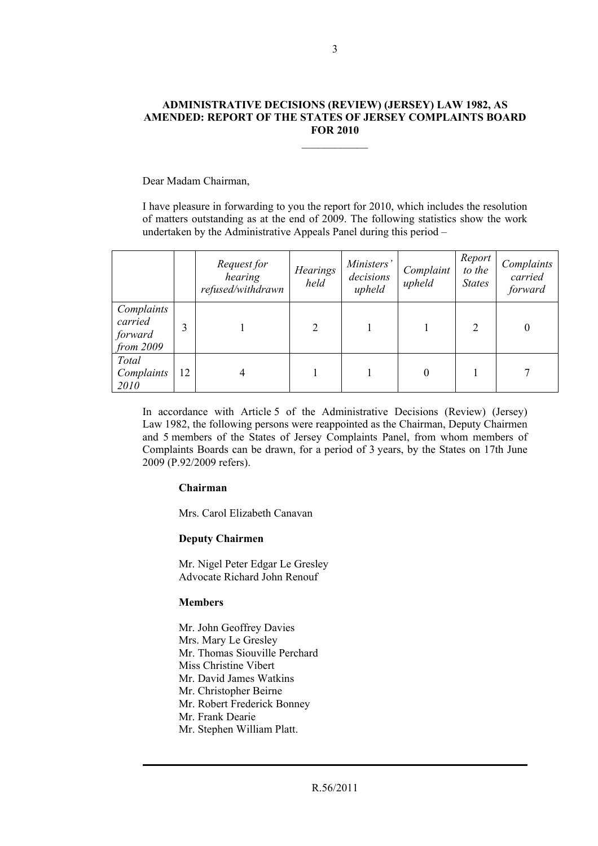#### **ADMINISTRATIVE DECISIONS (REVIEW) (JERSEY) LAW 1982, AS AMENDED: REPORT OF THE STATES OF JERSEY COMPLAINTS BOARD FOR 2010**

 $\mathcal{L}_\text{max}$ 

Dear Madam Chairman,

I have pleasure in forwarding to you the report for 2010, which includes the resolution of matters outstanding as at the end of 2009. The following statistics show the work undertaken by the Administrative Appeals Panel during this period –

|                                                 |    | Request for<br>hearing<br>refused/withdrawn | <b>Hearings</b><br>held | Ministers'<br>decisions<br>upheld | Complaint<br>upheld | Report<br>to the<br><b>States</b>                                                                                                                               | Complaints<br>carried<br>forward |
|-------------------------------------------------|----|---------------------------------------------|-------------------------|-----------------------------------|---------------------|-----------------------------------------------------------------------------------------------------------------------------------------------------------------|----------------------------------|
| Complaints<br>carried<br>forward<br>from $2009$ | 3  |                                             | 2                       |                                   |                     | $\mathcal{D}_{\mathcal{L}}^{\mathcal{L}}(\mathcal{L})=\mathcal{L}_{\mathcal{L}}^{\mathcal{L}}(\mathcal{L})\mathcal{L}_{\mathcal{L}}^{\mathcal{L}}(\mathcal{L})$ |                                  |
| Total<br>Complaints<br>2010                     | 12 |                                             |                         |                                   | 0                   |                                                                                                                                                                 |                                  |

In accordance with Article 5 of the Administrative Decisions (Review) (Jersey) Law 1982, the following persons were reappointed as the Chairman, Deputy Chairmen and 5 members of the States of Jersey Complaints Panel, from whom members of Complaints Boards can be drawn, for a period of 3 years, by the States on 17th June 2009 (P.92/2009 refers).

### **Chairman**

Mrs. Carol Elizabeth Canavan

### **Deputy Chairmen**

Mr. Nigel Peter Edgar Le Gresley Advocate Richard John Renouf

# **Members**

Mr. John Geoffrey Davies Mrs. Mary Le Gresley Mr. Thomas Siouville Perchard Miss Christine Vibert Mr. David James Watkins Mr. Christopher Beirne Mr. Robert Frederick Bonney Mr. Frank Dearie Mr. Stephen William Platt.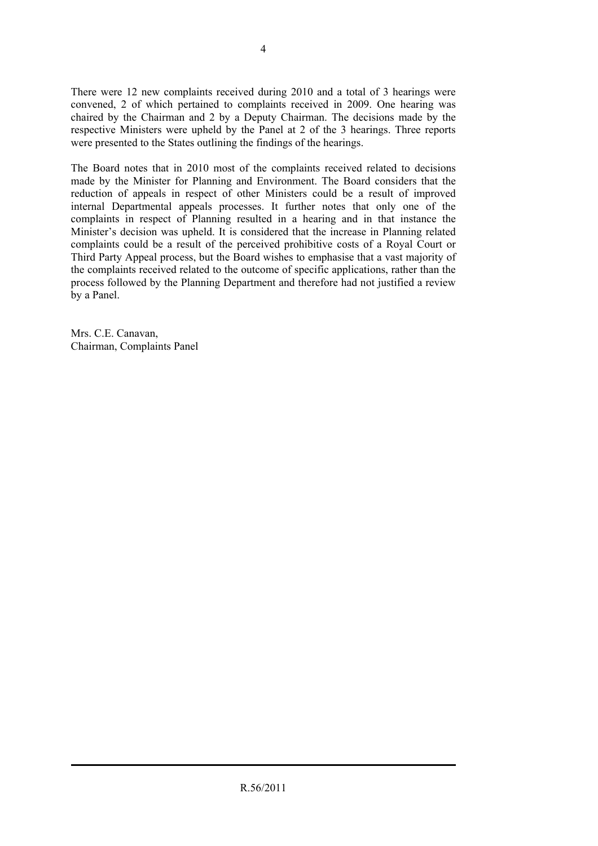There were 12 new complaints received during 2010 and a total of 3 hearings were convened, 2 of which pertained to complaints received in 2009. One hearing was chaired by the Chairman and 2 by a Deputy Chairman. The decisions made by the respective Ministers were upheld by the Panel at 2 of the 3 hearings. Three reports were presented to the States outlining the findings of the hearings.

The Board notes that in 2010 most of the complaints received related to decisions made by the Minister for Planning and Environment. The Board considers that the reduction of appeals in respect of other Ministers could be a result of improved internal Departmental appeals processes. It further notes that only one of the complaints in respect of Planning resulted in a hearing and in that instance the Minister's decision was upheld. It is considered that the increase in Planning related complaints could be a result of the perceived prohibitive costs of a Royal Court or Third Party Appeal process, but the Board wishes to emphasise that a vast majority of the complaints received related to the outcome of specific applications, rather than the process followed by the Planning Department and therefore had not justified a review by a Panel.

Mrs. C.E. Canavan, Chairman, Complaints Panel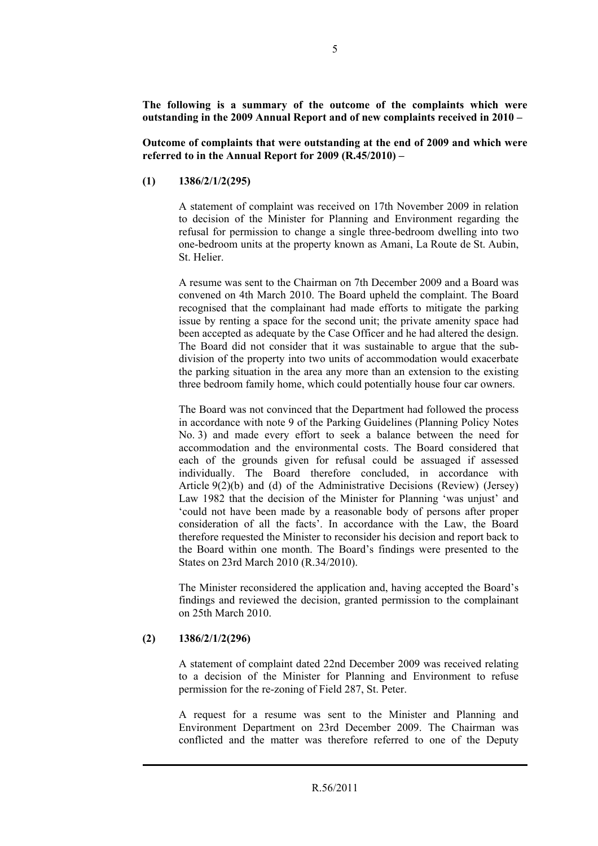**The following is a summary of the outcome of the complaints which were outstanding in the 2009 Annual Report and of new complaints received in 2010 –** 

**Outcome of complaints that were outstanding at the end of 2009 and which were referred to in the Annual Report for 2009 (R.45/2010) –** 

**(1) 1386/2/1/2(295)** 

A statement of complaint was received on 17th November 2009 in relation to decision of the Minister for Planning and Environment regarding the refusal for permission to change a single three-bedroom dwelling into two one-bedroom units at the property known as Amani, La Route de St. Aubin, St. Helier.

A resume was sent to the Chairman on 7th December 2009 and a Board was convened on 4th March 2010. The Board upheld the complaint. The Board recognised that the complainant had made efforts to mitigate the parking issue by renting a space for the second unit; the private amenity space had been accepted as adequate by the Case Officer and he had altered the design. The Board did not consider that it was sustainable to argue that the subdivision of the property into two units of accommodation would exacerbate the parking situation in the area any more than an extension to the existing three bedroom family home, which could potentially house four car owners.

The Board was not convinced that the Department had followed the process in accordance with note 9 of the Parking Guidelines (Planning Policy Notes No. 3) and made every effort to seek a balance between the need for accommodation and the environmental costs. The Board considered that each of the grounds given for refusal could be assuaged if assessed individually. The Board therefore concluded, in accordance with Article 9(2)(b) and (d) of the Administrative Decisions (Review) (Jersey) Law 1982 that the decision of the Minister for Planning 'was unjust' and 'could not have been made by a reasonable body of persons after proper consideration of all the facts'. In accordance with the Law, the Board therefore requested the Minister to reconsider his decision and report back to the Board within one month. The Board's findings were presented to the States on 23rd March 2010 (R.34/2010).

The Minister reconsidered the application and, having accepted the Board's findings and reviewed the decision, granted permission to the complainant on 25th March 2010.

# **(2) 1386/2/1/2(296)**

A statement of complaint dated 22nd December 2009 was received relating to a decision of the Minister for Planning and Environment to refuse permission for the re-zoning of Field 287, St. Peter.

A request for a resume was sent to the Minister and Planning and Environment Department on 23rd December 2009. The Chairman was conflicted and the matter was therefore referred to one of the Deputy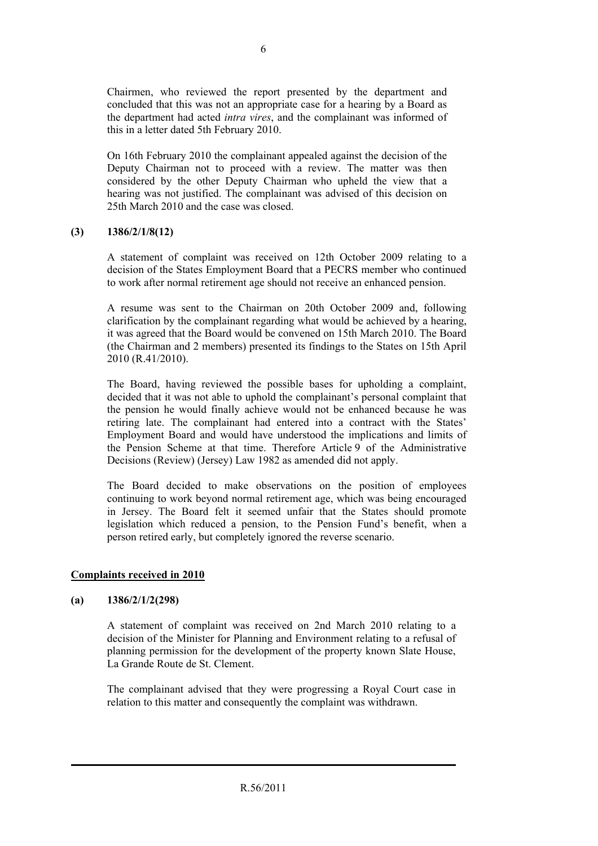Chairmen, who reviewed the report presented by the department and concluded that this was not an appropriate case for a hearing by a Board as the department had acted *intra vires*, and the complainant was informed of this in a letter dated 5th February 2010.

On 16th February 2010 the complainant appealed against the decision of the Deputy Chairman not to proceed with a review. The matter was then considered by the other Deputy Chairman who upheld the view that a hearing was not justified. The complainant was advised of this decision on 25th March 2010 and the case was closed.

# **(3) 1386/2/1/8(12)**

A statement of complaint was received on 12th October 2009 relating to a decision of the States Employment Board that a PECRS member who continued to work after normal retirement age should not receive an enhanced pension.

A resume was sent to the Chairman on 20th October 2009 and, following clarification by the complainant regarding what would be achieved by a hearing, it was agreed that the Board would be convened on 15th March 2010. The Board (the Chairman and 2 members) presented its findings to the States on 15th April 2010 (R.41/2010).

The Board, having reviewed the possible bases for upholding a complaint, decided that it was not able to uphold the complainant's personal complaint that the pension he would finally achieve would not be enhanced because he was retiring late. The complainant had entered into a contract with the States' Employment Board and would have understood the implications and limits of the Pension Scheme at that time. Therefore Article  $9$  of the Administrative Decisions (Review) (Jersey) Law 1982 as amended did not apply.

The Board decided to make observations on the position of employees continuing to work beyond normal retirement age, which was being encouraged in Jersey. The Board felt it seemed unfair that the States should promote legislation which reduced a pension, to the Pension Fund's benefit, when a person retired early, but completely ignored the reverse scenario.

### **Complaints received in 2010**

### **(a) 1386/2/1/2(298)**

A statement of complaint was received on 2nd March 2010 relating to a decision of the Minister for Planning and Environment relating to a refusal of planning permission for the development of the property known Slate House, La Grande Route de St. Clement.

The complainant advised that they were progressing a Royal Court case in relation to this matter and consequently the complaint was withdrawn.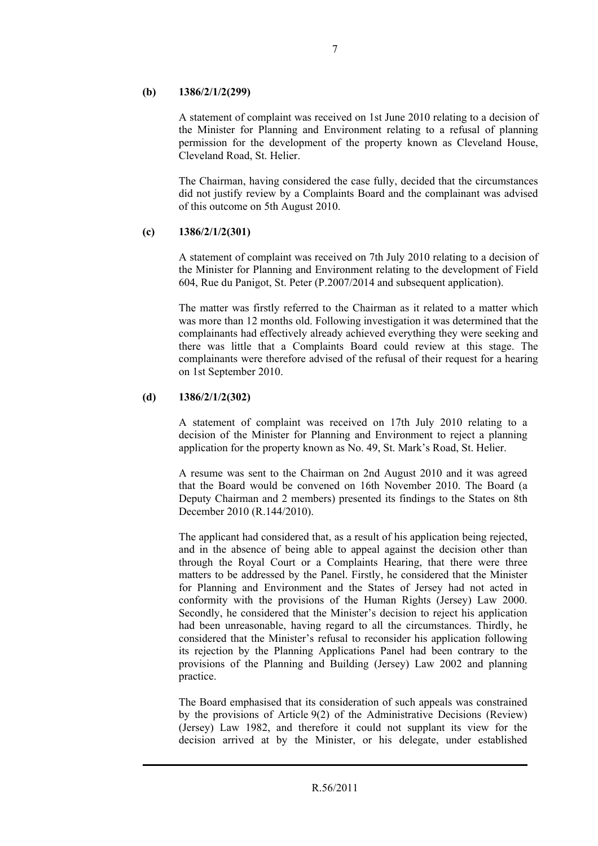# **(b) 1386/2/1/2(299)**

A statement of complaint was received on 1st June 2010 relating to a decision of the Minister for Planning and Environment relating to a refusal of planning permission for the development of the property known as Cleveland House, Cleveland Road, St. Helier.

The Chairman, having considered the case fully, decided that the circumstances did not justify review by a Complaints Board and the complainant was advised of this outcome on 5th August 2010.

# **(c) 1386/2/1/2(301)**

A statement of complaint was received on 7th July 2010 relating to a decision of the Minister for Planning and Environment relating to the development of Field 604, Rue du Panigot, St. Peter (P.2007/2014 and subsequent application).

The matter was firstly referred to the Chairman as it related to a matter which was more than 12 months old. Following investigation it was determined that the complainants had effectively already achieved everything they were seeking and there was little that a Complaints Board could review at this stage. The complainants were therefore advised of the refusal of their request for a hearing on 1st September 2010.

# **(d) 1386/2/1/2(302)**

A statement of complaint was received on 17th July 2010 relating to a decision of the Minister for Planning and Environment to reject a planning application for the property known as No. 49, St. Mark's Road, St. Helier.

A resume was sent to the Chairman on 2nd August 2010 and it was agreed that the Board would be convened on 16th November 2010. The Board (a Deputy Chairman and 2 members) presented its findings to the States on 8th December 2010 (R.144/2010).

The applicant had considered that, as a result of his application being rejected, and in the absence of being able to appeal against the decision other than through the Royal Court or a Complaints Hearing, that there were three matters to be addressed by the Panel. Firstly, he considered that the Minister for Planning and Environment and the States of Jersey had not acted in conformity with the provisions of the Human Rights (Jersey) Law 2000. Secondly, he considered that the Minister's decision to reject his application had been unreasonable, having regard to all the circumstances. Thirdly, he considered that the Minister's refusal to reconsider his application following its rejection by the Planning Applications Panel had been contrary to the provisions of the Planning and Building (Jersey) Law 2002 and planning practice.

The Board emphasised that its consideration of such appeals was constrained by the provisions of Article 9(2) of the Administrative Decisions (Review) (Jersey) Law 1982, and therefore it could not supplant its view for the decision arrived at by the Minister, or his delegate, under established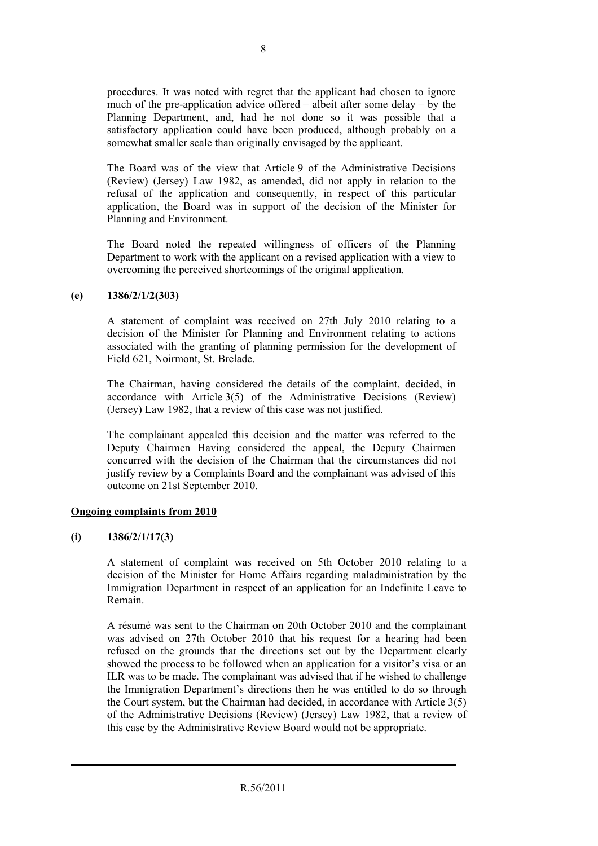procedures. It was noted with regret that the applicant had chosen to ignore much of the pre-application advice offered – albeit after some delay – by the Planning Department, and, had he not done so it was possible that a satisfactory application could have been produced, although probably on a somewhat smaller scale than originally envisaged by the applicant.

The Board was of the view that Article 9 of the Administrative Decisions (Review) (Jersey) Law 1982, as amended, did not apply in relation to the refusal of the application and consequently, in respect of this particular application, the Board was in support of the decision of the Minister for Planning and Environment.

The Board noted the repeated willingness of officers of the Planning Department to work with the applicant on a revised application with a view to overcoming the perceived shortcomings of the original application.

# **(e) 1386/2/1/2(303)**

A statement of complaint was received on 27th July 2010 relating to a decision of the Minister for Planning and Environment relating to actions associated with the granting of planning permission for the development of Field 621, Noirmont, St. Brelade.

The Chairman, having considered the details of the complaint, decided, in accordance with Article 3(5) of the Administrative Decisions (Review) (Jersey) Law 1982, that a review of this case was not justified.

The complainant appealed this decision and the matter was referred to the Deputy Chairmen Having considered the appeal, the Deputy Chairmen concurred with the decision of the Chairman that the circumstances did not justify review by a Complaints Board and the complainant was advised of this outcome on 21st September 2010.

# **Ongoing complaints from 2010**

# **(i) 1386/2/1/17(3)**

A statement of complaint was received on 5th October 2010 relating to a decision of the Minister for Home Affairs regarding maladministration by the Immigration Department in respect of an application for an Indefinite Leave to Remain.

A résumé was sent to the Chairman on 20th October 2010 and the complainant was advised on 27th October 2010 that his request for a hearing had been refused on the grounds that the directions set out by the Department clearly showed the process to be followed when an application for a visitor's visa or an ILR was to be made. The complainant was advised that if he wished to challenge the Immigration Department's directions then he was entitled to do so through the Court system, but the Chairman had decided, in accordance with Article 3(5) of the Administrative Decisions (Review) (Jersey) Law 1982, that a review of this case by the Administrative Review Board would not be appropriate.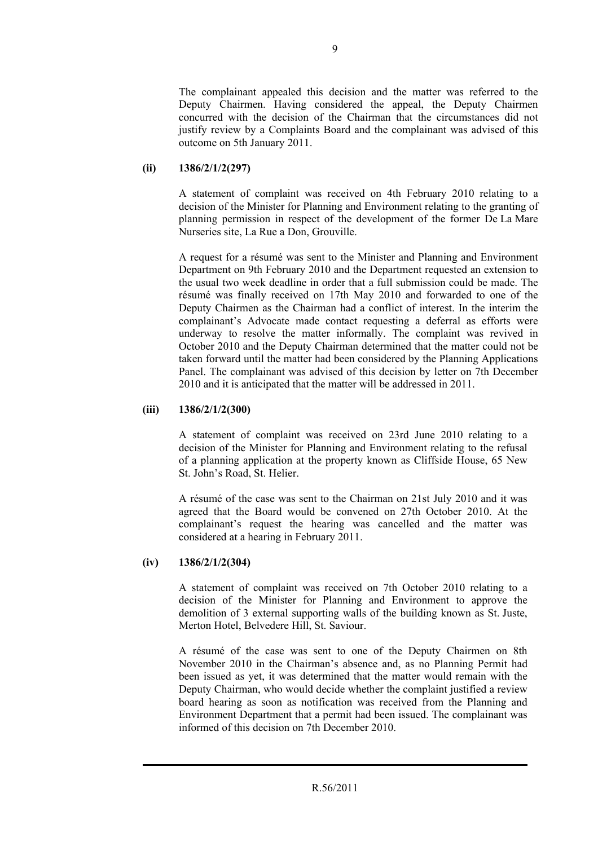The complainant appealed this decision and the matter was referred to the Deputy Chairmen. Having considered the appeal, the Deputy Chairmen concurred with the decision of the Chairman that the circumstances did not justify review by a Complaints Board and the complainant was advised of this outcome on 5th January 2011.

# **(ii) 1386/2/1/2(297)**

A statement of complaint was received on 4th February 2010 relating to a decision of the Minister for Planning and Environment relating to the granting of planning permission in respect of the development of the former De La Mare Nurseries site, La Rue a Don, Grouville.

A request for a résumé was sent to the Minister and Planning and Environment Department on 9th February 2010 and the Department requested an extension to the usual two week deadline in order that a full submission could be made. The résumé was finally received on 17th May 2010 and forwarded to one of the Deputy Chairmen as the Chairman had a conflict of interest. In the interim the complainant's Advocate made contact requesting a deferral as efforts were underway to resolve the matter informally. The complaint was revived in October 2010 and the Deputy Chairman determined that the matter could not be taken forward until the matter had been considered by the Planning Applications Panel. The complainant was advised of this decision by letter on 7th December 2010 and it is anticipated that the matter will be addressed in 2011.

# **(iii) 1386/2/1/2(300)**

A statement of complaint was received on 23rd June 2010 relating to a decision of the Minister for Planning and Environment relating to the refusal of a planning application at the property known as Cliffside House, 65 New St. John's Road, St. Helier.

A résumé of the case was sent to the Chairman on 21st July 2010 and it was agreed that the Board would be convened on 27th October 2010. At the complainant's request the hearing was cancelled and the matter was considered at a hearing in February 2011.

### **(iv) 1386/2/1/2(304)**

A statement of complaint was received on 7th October 2010 relating to a decision of the Minister for Planning and Environment to approve the demolition of 3 external supporting walls of the building known as St. Juste, Merton Hotel, Belvedere Hill, St. Saviour.

A résumé of the case was sent to one of the Deputy Chairmen on 8th November 2010 in the Chairman's absence and, as no Planning Permit had been issued as yet, it was determined that the matter would remain with the Deputy Chairman, who would decide whether the complaint justified a review board hearing as soon as notification was received from the Planning and Environment Department that a permit had been issued. The complainant was informed of this decision on 7th December 2010.